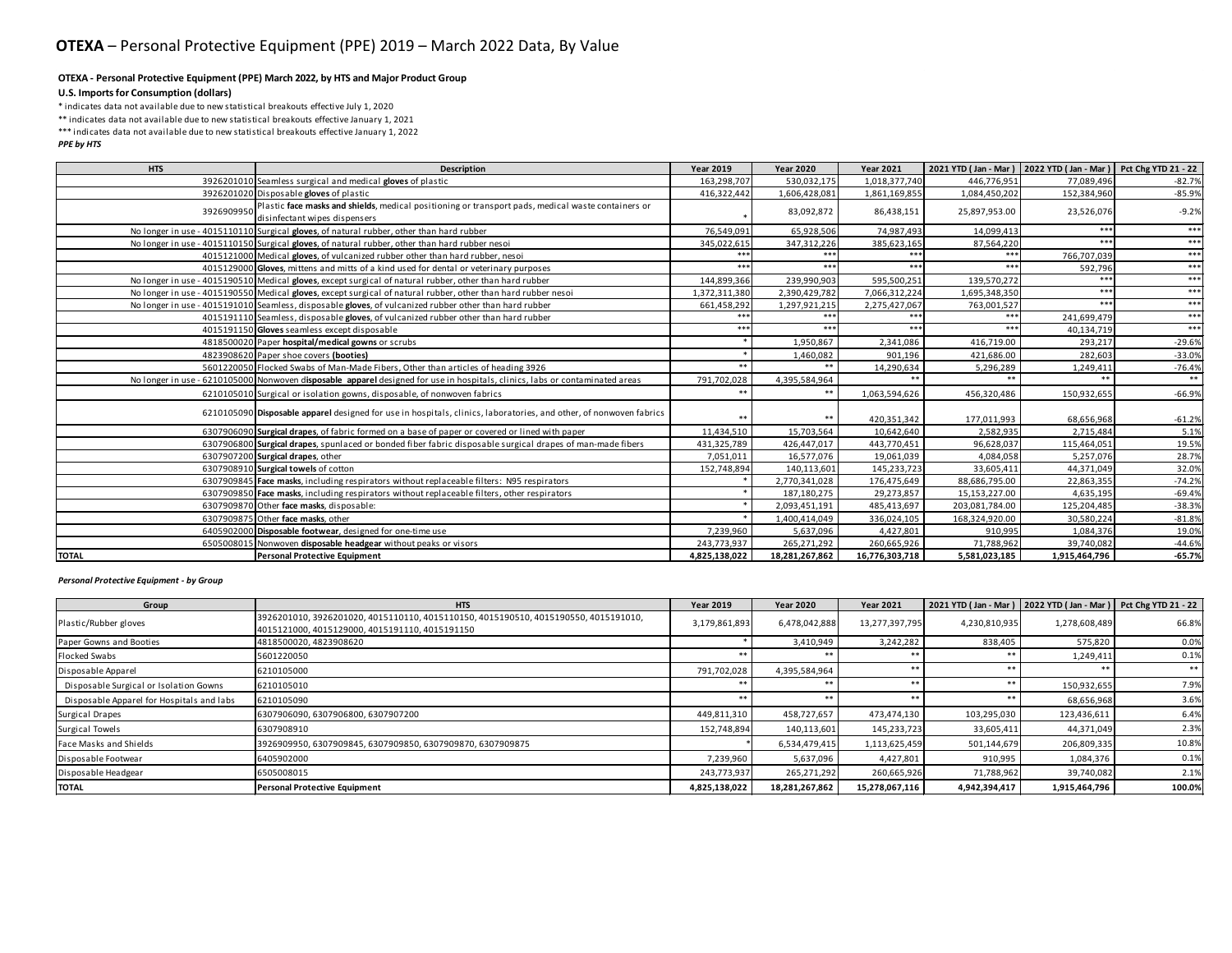## **OTEXA - Personal Protective Equipment (PPE) March 2022, by HTS and Major Product Group**

**U.S. Imports for Consumption (dollars)**

\* indicates data not available due to new statistical breakouts effective July 1, 2020

\*\* indicates data not available due to new statistical breakouts effective January 1, 2021

\*\*\* indicates data not available due to new statistical breakouts effective January 1, 2022

*PPE by HTS*

| <b>HTS</b>   | Description                                                                                                                         | <b>Year 2019</b> | <b>Year 2020</b> | <b>Year 2021</b> |                | 2021 YTD (Jan - Mar ) 2022 YTD (Jan - Mar ) Pct Chg YTD 21 - 22 |          |
|--------------|-------------------------------------------------------------------------------------------------------------------------------------|------------------|------------------|------------------|----------------|-----------------------------------------------------------------|----------|
|              | 3926201010 Seamless surgical and medical gloves of plastic                                                                          | 163,298,707      | 530,032,175      | 1,018,377,740    | 446,776,951    | 77.089.496                                                      | $-82.7%$ |
|              | 3926201020 Disposable gloves of plastic                                                                                             | 416,322,442      | 1,606,428,081    | 1,861,169,855    | 1,084,450,202  | 152,384,960                                                     | $-85.9%$ |
| 3926909950   | Plastic face masks and shields, medical positioning or transport pads, medical waste containers or<br>disinfectant wipes dispensers |                  | 83,092,872       | 86,438,151       | 25,897,953.00  | 23,526,076                                                      | $-9.2%$  |
|              | No longer in use - 4015110110 Surgical gloves, of natural rubber, other than hard rubber                                            | 76,549,091       | 65,928,506       | 74,987,493       | 14,099,413     | ***                                                             | ***      |
|              | No longer in use - 4015110150 Surgical gloves, of natural rubber, other than hard rubber nesoi                                      | 345,022,615      | 347,312,226      | 385,623,165      | 87,564,220     | ***                                                             | ***      |
|              | 4015121000 Medical gloves, of vulcanized rubber other than hard rubber, nesoi                                                       | ***              | ***              | ***              | $***$          | 766,707,039                                                     | ***      |
|              | 4015129000 Gloves, mittens and mitts of a kind used for dental or veterinary purposes                                               | ***              | ***              | ***              | ***            | 592,796                                                         | ***      |
|              | No longer in use - 4015190510 Medical gloves, except surgical of natural rubber, other than hard rubber                             | 144,899,366      | 239,990,903      | 595,500,251      | 139,570,272    | ***                                                             | ***      |
|              | No longer in use - 4015190550 Medical gloves, except surgical of natural rubber, other than hard rubber nesoi                       | 1,372,311,380    | 2,390,429,782    | 7,066,312,224    | 1,695,348,350  | ***                                                             | ***      |
|              | No longer in use - 4015191010 Seamless, disposable gloves, of vulcanized rubber other than hard rubber                              | 661,458,292      | 1,297,921,215    | 2,275,427,067    | 763,001,527    | ***                                                             | ***      |
|              | 4015191110 Seamless, disposable gloves, of vulcanized rubber other than hard rubber                                                 | ***              | ***              | ***              | ***            | 241,699,479                                                     | ***      |
|              | 4015191150 Gloves seamless except disposable                                                                                        | ***              | ***              | ***              | ***            | 40,134,719                                                      | ***      |
|              | 4818500020 Paper hospital/medical gowns or scrubs                                                                                   |                  | 1,950,867        | 2,341,086        | 416,719.00     | 293.217                                                         | $-29.6%$ |
|              | 4823908620 Paper shoe covers (booties)                                                                                              |                  | 1,460,082        | 901,196          | 421.686.00     | 282,603                                                         | $-33.0%$ |
|              | 5601220050 Flocked Swabs of Man-Made Fibers, Other than articles of heading 3926                                                    | $**$             | **               | 14,290,634       | 5,296,289      | 1,249,411                                                       | $-76.4%$ |
|              | No longer in use - 6210105000 Nonwoven disposable apparel designed for use in hospitals, clinics, labs or contaminated areas        | 791,702,028      | 4,395,584,964    |                  | $***$          | **                                                              | $***$    |
|              | 6210105010 Surgical or isolation gowns, disposable, of nonwoven fabrics                                                             |                  | $***$            | 1,063,594,626    | 456,320,486    | 150,932,655                                                     | $-66.9%$ |
|              | 6210105090 Disposable apparel designed for use in hospitals, clinics, laboratories, and other, of nonwoven fabrics                  |                  | $* *$            | 420,351,342      | 177,011,993    | 68,656,968                                                      | $-61.2%$ |
|              | 6307906090 Surgical drapes, of fabric formed on a base of paper or covered or lined with paper                                      | 11,434,510       | 15,703,564       | 10,642,640       | 2,582,935      | 2,715,484                                                       | 5.1%     |
|              | 6307906800 Surgical drapes, spunlaced or bonded fiber fabric disposable surgical drapes of man-made fibers                          | 431,325,789      | 426,447,017      | 443,770,451      | 96,628,037     | 115,464,051                                                     | 19.5%    |
|              | 6307907200 Surgical drapes, other                                                                                                   | 7,051,011        | 16,577,076       | 19,061,039       | 4,084,058      | 5,257,076                                                       | 28.7%    |
|              | 6307908910 Surgical towels of cotton                                                                                                | 152,748,894      | 140,113,601      | 145,233,723      | 33,605,411     | 44,371,049                                                      | 32.0%    |
|              | 6307909845 Face masks, including respirators without replaceable filters: N95 respirators                                           |                  | 2,770,341,028    | 176,475,649      | 88,686,795.00  | 22,863,355                                                      | $-74.2%$ |
|              | 6307909850 Face masks, including respirators without replaceable filters, other respirators                                         |                  | 187,180,275      | 29,273,857       | 15,153,227.00  | 4.635.195                                                       | $-69.4%$ |
|              | 6307909870 Other face masks, disposable:                                                                                            |                  | 2,093,451,191    | 485,413,697      | 203,081,784.00 | 125,204,485                                                     | $-38.3%$ |
|              | 6307909875 Other face masks, other                                                                                                  |                  | 1,400,414,049    | 336,024,105      | 168,324,920.00 | 30,580,224                                                      | $-81.8%$ |
|              | 6405902000 Disposable footwear, designed for one-time use                                                                           | 7,239,960        | 5,637,096        | 4,427,801        | 910,995        | 1,084,376                                                       | 19.0%    |
| 6505008015   | Nonwoven disposable headgear without peaks or visors                                                                                | 243,773,937      | 265,271,292      | 260,665,926      | 71,788,962     | 39,740,082                                                      | $-44.6%$ |
| <b>TOTAL</b> | <b>Personal Protective Equipment</b>                                                                                                | 4,825,138,022    | 18,281,267,862   | 16,776,303,718   | 5,581,023,185  | 1,915,464,796                                                   | $-65.7%$ |

## *Personal Protective Equipment - by Group*

| Group                                     | <b>HTS</b>                                                                                                                            | <b>Year 2019</b> | <b>Year 2020</b> | <b>Year 2021</b> |               | 2021 YTD ( Jan - Mar )   2022 YTD ( Jan - Mar )   Pct Chg YTD 21 - 22 |        |
|-------------------------------------------|---------------------------------------------------------------------------------------------------------------------------------------|------------------|------------------|------------------|---------------|-----------------------------------------------------------------------|--------|
| Plastic/Rubber gloves                     | 3926201010, 3926201020, 4015110110, 4015110150, 4015190510, 4015190550, 4015191010,<br>4015121000, 4015129000, 4015191110, 4015191150 | 3,179,861,893    | 6,478,042,888    | 13,277,397,795   | 4,230,810,935 | 1,278,608,489                                                         | 66.8%  |
| Paper Gowns and Booties                   | 4818500020.4823908620                                                                                                                 |                  | 3,410,949        | 3,242,282        | 838,405       | 575,820                                                               | 0.0%   |
| Flocked Swabs                             | 5601220050                                                                                                                            | **               | **               | **               | **            | 1,249,411                                                             | 0.1%   |
| Disposable Apparel                        | 6210105000                                                                                                                            | 791,702,028      | 4,395,584,964    | **               | **            | **                                                                    | **     |
| Disposable Surgical or Isolation Gowns    | 6210105010                                                                                                                            | **               | **               | **               | **            | 150,932,655                                                           | 7.9%   |
| Disposable Apparel for Hospitals and labs | 6210105090                                                                                                                            | **               | **               | **               | **            | 68,656,968                                                            | 3.6%   |
| Surgical Drapes                           | 6307906090, 6307906800, 6307907200                                                                                                    | 449,811,310      | 458,727,657      | 473,474,130      | 103,295,030   | 123,436,611                                                           | 6.4%   |
| Surgical Towels                           | 6307908910                                                                                                                            | 152,748,894      | 140,113,601      | 145,233,723      | 33,605,411    | 44,371,049                                                            | 2.3%   |
| Face Masks and Shields                    | 3926909950, 6307909845, 6307909850, 6307909870, 6307909875                                                                            |                  | 6.534.479.415    | 1,113,625,459    | 501,144,679   | 206,809,335                                                           | 10.8%  |
| Disposable Footwear                       | 6405902000                                                                                                                            | 7,239,960        | 5,637,096        | 4,427,801        | 910,995       | 1,084,376                                                             | 0.1%   |
| Disposable Headgear                       | 6505008015                                                                                                                            | 243,773,937      | 265,271,292      | 260,665,926      | 71,788,962    | 39,740,082                                                            | 2.1%   |
| <b>TOTAL</b>                              | <b>Personal Protective Equipment</b>                                                                                                  | 4,825,138,022    | 18,281,267,862   | 15,278,067,116   | 4,942,394,417 | 1,915,464,796                                                         | 100.0% |